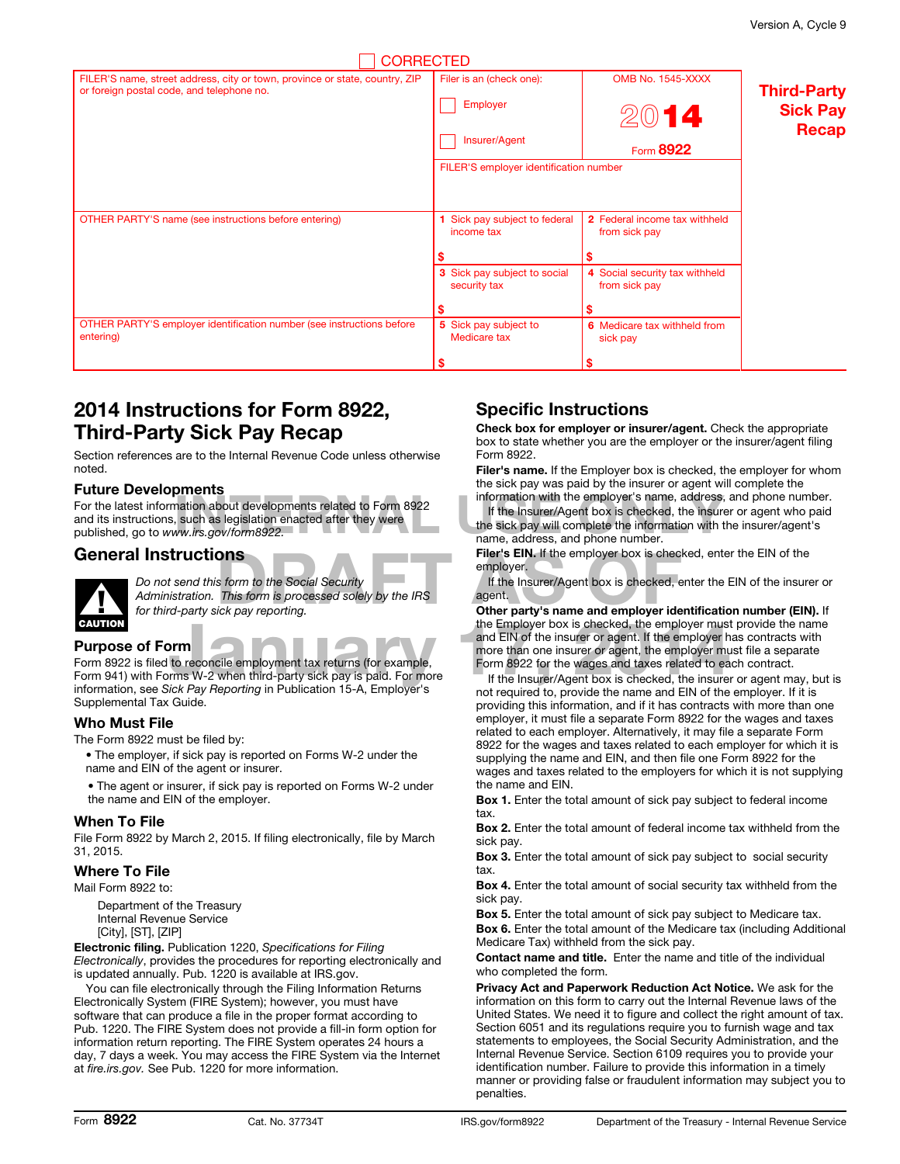| <b>CORRECTED</b>                                                                                                         |                                              |                                                 |                                                       |
|--------------------------------------------------------------------------------------------------------------------------|----------------------------------------------|-------------------------------------------------|-------------------------------------------------------|
| FILER'S name, street address, city or town, province or state, country, ZIP<br>or foreign postal code, and telephone no. | Filer is an (check one):<br>Employer         | OMB No. 1545-XXXX<br>2014                       | <b>Third-Party</b><br><b>Sick Pay</b><br><b>Recap</b> |
|                                                                                                                          | Insurer/Agent                                | Form 8922                                       |                                                       |
|                                                                                                                          | FILER'S employer identification number       |                                                 |                                                       |
|                                                                                                                          |                                              |                                                 |                                                       |
| OTHER PARTY'S name (see instructions before entering)                                                                    | Sick pay subject to federal<br>income tax    | 2 Federal income tax withheld<br>from sick pay  |                                                       |
|                                                                                                                          |                                              |                                                 |                                                       |
|                                                                                                                          | 3 Sick pay subject to social<br>security tax | 4 Social security tax withheld<br>from sick pay |                                                       |
|                                                                                                                          |                                              |                                                 |                                                       |
| OTHER PARTY'S employer identification number (see instructions before<br>entering)                                       | 5 Sick pay subject to<br>Medicare tax        | 6 Medicare tax withheld from<br>sick pay        |                                                       |
|                                                                                                                          |                                              |                                                 |                                                       |

# 2014 Instructions for Form 8922, Third-Party Sick Pay Recap

Section references are to the Internal Revenue Code unless otherwise noted.

#### Future Developments

For the latest information about developments related to Form 8922 and its instructions, such as legislation enacted after they were published, go to *www.irs.gov/form8922.*

## General Instructions



**ONS**<br>
Filer's EIN. If the employer box is checked<br>
s form to the Social Security<br>
This form is processed solely by the IRS<br>
ick pay reporting.<br>
Interversed solely by the IRS<br>
There party's name and employer identif *Do not send this form to the Social Security Administration. This form is processed solely by the IRS* ▲! *for third-party sick pay reporting.*

### Purpose of Form

Form 8922 is filed to reconcile employment tax returns (for example, information, see *Sick Pay Reporting* in Publication 15-A, Employer's Supplemental Tax Guide.

#### Who Must File

The Form 8922 must be filed by:

- The employer, if sick pay is reported on Forms W-2 under the name and EIN of the agent or insurer.
- The agent or insurer, if sick pay is reported on Forms W-2 under the name and EIN of the employer.

#### When To File

File Form 8922 by March 2, 2015. If filing electronically, file by March 31, 2015.

#### Where To File

Mail Form 8922 to:

Department of the Treasury Internal Revenue Service [City], [ST], [ZIP]

Electronic filing. Publication 1220, *Specifications for Filing Electronically*, provides the procedures for reporting electronically and is updated annually. Pub. 1220 is available at IRS.gov.

You can file electronically through the Filing Information Returns Electronically System (FIRE System); however, you must have software that can produce a file in the proper format according to Pub. 1220. The FIRE System does not provide a fill-in form option for information return reporting. The FIRE System operates 24 hours a day, 7 days a week. You may access the FIRE System via the Internet at *fire.irs.gov.* See Pub. 1220 for more information.

## Specific Instructions

Check box for employer or insurer/agent. Check the appropriate box to state whether you are the employer or the insurer/agent filing Form 8922.

Filer's name. If the Employer box is checked, the employer for whom the sick pay was paid by the insurer or agent will complete the information with the employer's name, address, and phone number.

Finderics<br>
Information with the employer's name, address,<br>
such as legislation enacted after they were<br>
ww.irs.gov/form8922.<br>
Ww.irs.gov/form8922.<br>
It the linsurer/Agent box is checked, the insurer<br>
the sick pay will compl If the Insurer/Agent box is checked, the insurer or agent who paid the sick pay will complete the information with the insurer/agent's name, address, and phone number.

> Filer's EIN. If the employer box is checked, enter the EIN of the employer.

If the Insurer/Agent box is checked, enter the EIN of the insurer or agent.

Form the Employer box is checked, the employer muss<br>
Purpose of Form<br>
Form 8922 is filed to reconcile employment tax returns (for example,<br>
Form 941) with Forms W-2 when third-party sick pay is paid. For more<br>
Form 941) wi Other party's name and employer identification number (EIN). If the Employer box is checked, the employer must provide the name and EIN of the insurer or agent. If the employer has contracts with more than one insurer or agent, the employer must file a separate Form 8922 for the wages and taxes related to each contract.

If the Insurer/Agent box is checked, the insurer or agent may, but is not required to, provide the name and EIN of the employer. If it is providing this information, and if it has contracts with more than one employer, it must file a separate Form 8922 for the wages and taxes related to each employer. Alternatively, it may file a separate Form 8922 for the wages and taxes related to each employer for which it is supplying the name and EIN, and then file one Form 8922 for the wages and taxes related to the employers for which it is not supplying the name and EIN.

Box 1. Enter the total amount of sick pay subject to federal income tax.

Box 2. Enter the total amount of federal income tax withheld from the sick pay.

Box 3. Enter the total amount of sick pay subject to social security tax.

Box 4. Enter the total amount of social security tax withheld from the sick pay.

Box 5. Enter the total amount of sick pay subject to Medicare tax.

Box 6. Enter the total amount of the Medicare tax (including Additional Medicare Tax) withheld from the sick pay.

Contact name and title. Enter the name and title of the individual who completed the form.

Privacy Act and Paperwork Reduction Act Notice. We ask for the information on this form to carry out the Internal Revenue laws of the United States. We need it to figure and collect the right amount of tax. Section 6051 and its regulations require you to furnish wage and tax statements to employees, the Social Security Administration, and the Internal Revenue Service. Section 6109 requires you to provide your identification number. Failure to provide this information in a timely manner or providing false or fraudulent information may subject you to penalties.